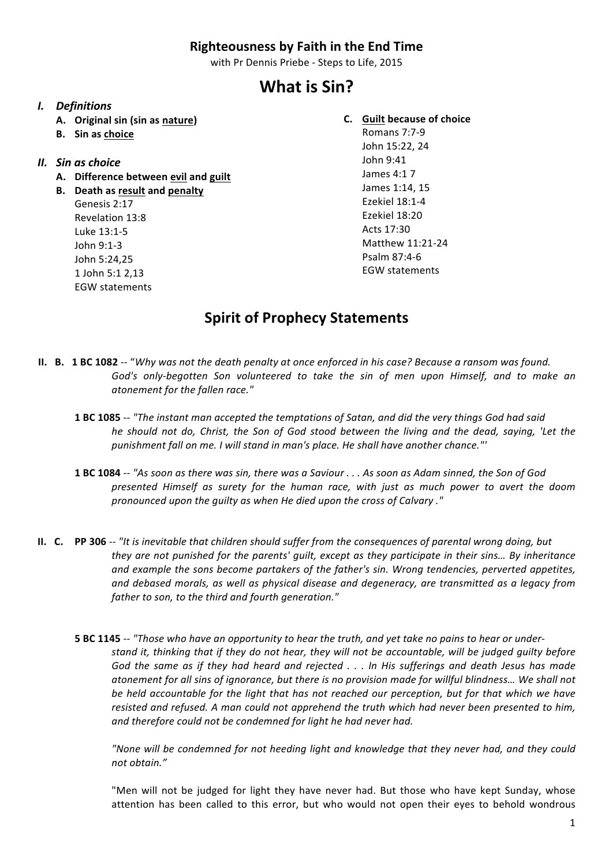#### **Righteousness by Faith in the End Time**

with Pr Dennis Priebe - Steps to Life, 2015

# **What is Sin?**

#### *I. Definitions*

- **A. Original sin (sin as nature)**
- **B. Sin as choice**

#### *II. Sin as choice*

- **A. Difference between evil and guilt**
- **B.** Death as result and penalty Genesis 2:17 Revelation 13:8 Luke 13:1-5 John 9:1-3 John 5:24,25 1 John 5:1 2,13 EGW statements

### **C. Guilt because of choice**

Romans 7:7-9 John 15:22, 24 John 9:41 James 4:1 7 James 1:14, 15 Ezekiel 18:1-4 Ezekiel 18:20 Acts 17:30 Matthew 11:21-24 Psalm 87:4-6 EGW statements

## **Spirit of Prophecy Statements**

- **II. B. 1 BC 1082** -- "Why was not the death penalty at once enforced in his case? Because a ransom was found. God's only-begotten Son volunteered to take the sin of men upon Himself, and to make an *atonement for the fallen race."*
	- **1 BC 1085** -- *"The instant man accepted the temptations of Satan, and did the very things God had said he* should not do, Christ, the Son of God stood between the living and the dead, saying, 'Let the *punishment fall on me. I will stand in man's place. He shall have another chance."'*
	- **1 BC 1084** -- "As soon as there was sin, there was a Saviour . . . As soon as Adam sinned, the Son of God *presented Himself* as surety for the human race, with just as much power to avert the doom *pronounced upon the guilty as when He died upon the cross of Calvary ."*
- **II.** C. PP 306 -- "It is inevitable that children should suffer from the consequences of parental wrong doing, but *they* are not punished for the parents' quilt, except as they participate in their sins... By inheritance and example the sons become partakers of the father's sin. Wrong tendencies, perverted appetites, *and debased morals, as well as physical disease and degeneracy, are transmitted as a legacy from father to son, to the third and fourth generation."*
	- **5** BC 1145 -- "Those who have an opportunity to hear the truth, and yet take no pains to hear or under*stand it, thinking that if they do not hear, they will not be accountable, will be judged guilty before God the same as if they had heard and rejected . . . In His sufferings and death Jesus has made atonement for all sins of ignorance, but there is no provision made for willful blindness… We shall not be held accountable for the light that has not reached our perception, but for that which we have resisted and refused. A man could not apprehend the truth which had never been presented to him, and therefore could not be condemned for light he had never had.*

*"None will be condemned for not heeding light and knowledge that they never had, and they could not obtain."*

"Men will not be judged for light they have never had. But those who have kept Sunday, whose attention has been called to this error, but who would not open their eyes to behold wondrous